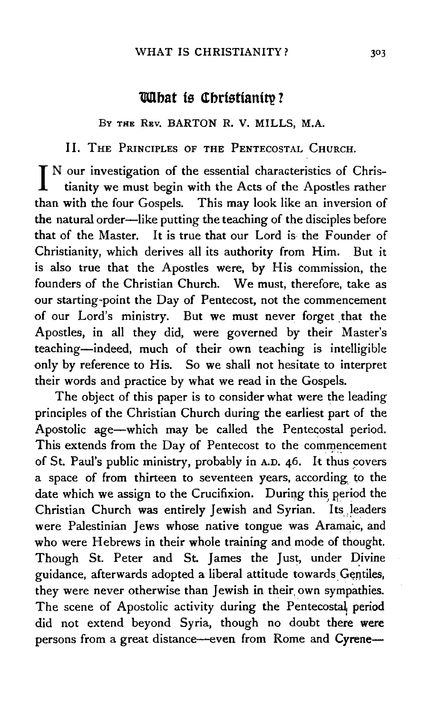# **What is Christianity?**

Bv THE REv. BARTON R. V. MILLS, M.A.

II. THE PRINCIPLES OF THE PENTECOSTAL CHURCH.

I N our investigation of the essential characteristics of Chris-<br>tianity we must have a set of the set of the set of the set of the set of the set of the set of the set of the tianity we must begin with the Acts of the Apostles rather than with the four Gospels. This may look like an inversion of the natural order-like putting the teaching of the disciples before that of the Master. It is true that our Lord is- the Founder of Christianity, which derives all its authority from Him. But it is also true that the Apostles were, by His commission, the founders of the Christian Church. We must, therefore, take as our starting-point the Day of Pentecost, not the commencement of our Lord's ministry. But we must never forget that the Apostles, in all they did, were governed by their Master's teaching-indeed, much of their own teaching is intelligible only by reference to His. So we shall not hesitate to interpret their words and practice by what we read in the Gospels.

The object of this paper is to consider what were the leading principles of the Christian Church during the earliest part of the Apostolic age-which may be called the Pentecostal period. This extends from the Day of Pentecost to the commencement of St. Paul's public ministry, probably in A.D. 46. It thus covers a space of from thirteen to seventeen years, according, to the date which we assign to the Crucifixion. During this period the Christian Church was entirely Jewish and Syrian. Its leaders were Palestinian Jews whose native tongue was Aramaic, and who were Hebrews in their whole training and mode of thought. Though St. Peter and St. James the Just, under Divine guidance, afterwards adopted a liberal attitude towards Gentiles, they were never otherwise than Jewish in their own sympathies. The scene of Apostolic activity during the Pentecostal period did not extend beyond Syria, though no doubt there were persons from a great distance--even from Rome and Cyrene--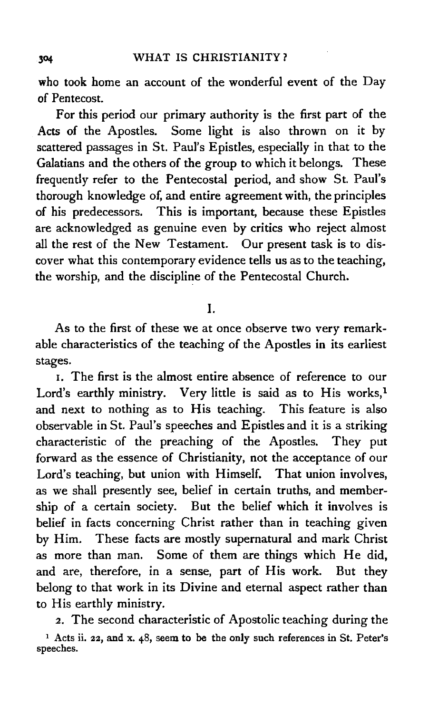who took home an account of the wonderful event of the Day of Pentecost.

For this period our primary authority is the first part of the Acts of the Apostles. Some light is also thrown on it by scattered passages in St. Paul's Epistles, especially in that to the Galatians and the others of the group to which it belongs. These frequently refer to the Pentecostal period, and show St. Paul's thorough knowledge of, and entire agreement with, the principles of his predecessors. This is important, because these Epistles are acknowledged as genuine even by critics who reject almost all the rest of the New Testament. Our present task is to dis· cover what this contemporary evidence tells us as to the teaching, the worship, and the discipline of the Pentecostal Church.

### I.

As to the first of these we at once observe two very remarkable characteristics of the teaching of the Apostles in its earliest stages.

I. The first is the almost entire absence of reference to our Lord's earthly ministry. Very little is said as to His works, $<sup>1</sup>$ </sup> and next to nothing as to His teaching. This feature is also observable in St. Paul's speeches and Epistles and it is a striking characteristic of the preaching of the Apostles. They put forward as the essence of Christianity, not the acceptance of our Lord's teaching, but union with Himself. That union involves, as we shall presently see, belief in certain truths, and member· ship of a certain society. But the belief which it involves is belief in facts concerning Christ rather than in teaching given by Him. These facts are mostly supernatural and mark Christ as more than man. Some of them are things which He did, and are, therefore, in a sense, part of His work. But they belong to that work in its Divine and eternal aspect rather than to His earthly ministry.

2. The second characteristic of Apostolic teaching during the 1 Acts ii. 22, and x. 48, seem to be the only such references in St. Peter's speeches.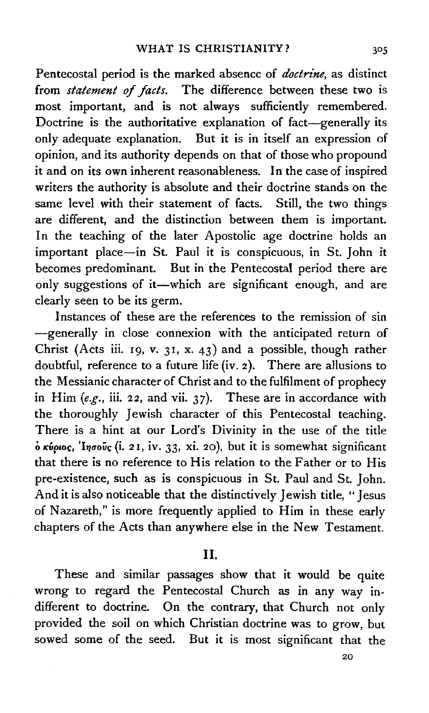Pentecostal period is the marked absence of *doctrine,* as distinct from *statement of facts.* The difference between these two is most important, and is not always sufficiently remembered. Doctrine is the authoritative explanation of fact-generally its only adequate explanation. But it is in itself an expression of opinion, and its authority depends on that of those who propound it and on its own inherent reasonableness. In the case of inspired writers the authority is absolute and their doctrine stands on the same level with their statement of facts. Still, the two things are different, and the distinction between them is important. In the teaching of the later Apostolic age doctrine holds an important place-in St. Paul it is conspicuous, in St. John it becomes predominant. But in the Pentecostal period there are only suggestions of it-which are significant enough, and are clearly seen to be its germ.

Instances of these are the references to the remission of sin -generally in close connexion with the anticipated return of Christ (Acts iii. 19, v. 31, x. 43) and a possible, though rather doubtful, reference to a future life (iv. *2* ). There are allusions to the Messianic character of Christ and to the fulfilment of prophecy in Him *(e.g.,* iii. 22, and vii. 37). These are in accordance with the thoroughly Jewish character of this Pentecostal teaching. There is a hint at our Lord's Divinity in the use of the title o tcv~w~, 'Iflaolidi. *2* I, iv. *33,* xi. 20), but it is somewhat significant that there is no reference to His relation to the Father or to His pre-existence, such as is conspicuous in St. Paul and St. John. And it is also noticeable that the distinctively Jewish title, "Jesus of Nazareth," is more frequently applied to Him in these early chapters of the Acts than anywhere else in the New Testament.

## II.

These and similar passages show that it would be quite wrong to regard the Pentecostal Church as in any way indifferent to doctrine. On the contrary, that Church not only provided the soil on which Christian doctrine was to grow, but sowed some of the seed. But it is most significant that the

20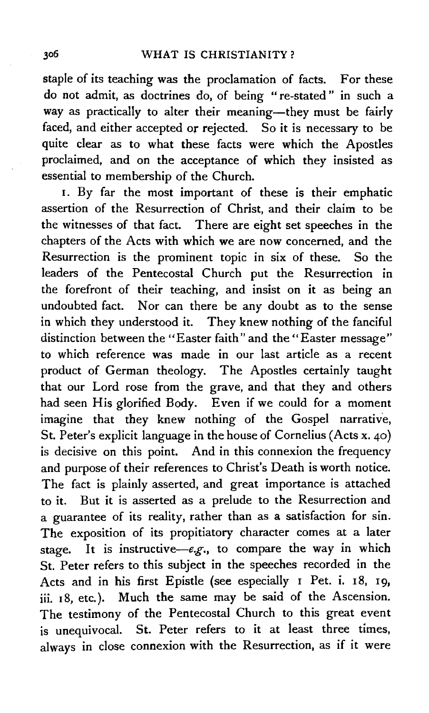staple of its teaching was the proclamation of facts. For these do not admit, as doctrines do, of being " re-stated " in such a way as practically to alter their meaning-they must be fairly faced, and either accepted or rejected. So it is necessary to be quite clear as to what these facts were which the Apostles proclaimed, and on the acceptance of which they insisted as essential to membership of the Church.

I. By far the most important of these is their emphatic assertion of the Resurrection of Christ, and their claim to be the witnesses of that fact. There are eight set speeches in the chapters of the Acts with which we are now concerned, and the Resurrection is the prominent topic in six of these. So the leaders of the Pentecostal Church put the Resurrection in the forefront of their teaching, and insist on it as being an undoubted fact. Nor can there be any doubt as to the sense in which they understood it. They knew nothing of the fanciful distinction between the "Easter faith" and the "Easter message" to which reference was made in our last article as a recent product of German theology. The Apostles certainly taught that our Lord rose from the grave, and that they and others had seen His glorified Body. Even if we could for a moment imagine that they knew nothing of the Gospel narrative, St. Peter's explicit language in the house of Cornelius (Acts x. 40) is decisive on this point. And in this connexion the frequency and purpose of their references to Christ's Death is worth notice. The fact is plainly asserted, and great importance is attached to it. But it is asserted as a prelude to the Resurrection and a guarantee of its reality, rather than as a satisfaction for sin. The exposition of its propitiatory character comes at a later stage. It is instructive-e.g., to compare the way in which St. Peter refers to this subject in the speeches recorded in the Acts and in his first Epistle (see especially I Pet. i. 18, 19, jii. 18, etc.). Much the same may be said of the Ascension. The testimony of the Pentecostal Church to this great event is unequivocal. St. Peter refers to it at least three times, always in close connexion with the Resurrection, as if it were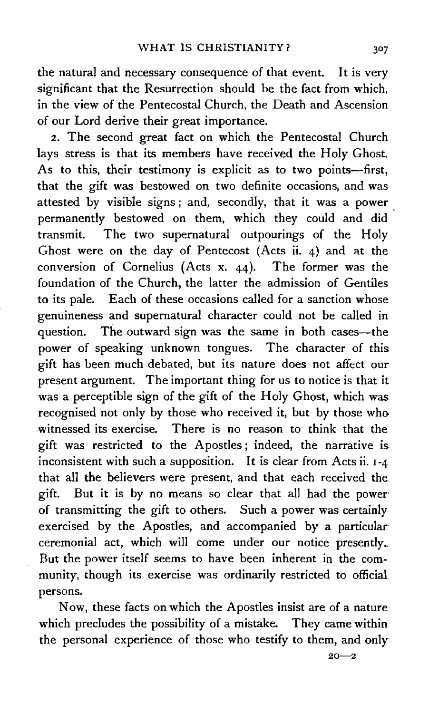the natural and necessary consequence of that event. It is very significant that the Resurrection should be the fact from which, in the view of the Pentecostal Church, the Death and Ascension of our Lord derive their great importance.

2. The second great fact on which the Pentecostal Church lays stress is that its members have received the Holy Ghost. As to this, their testimony is explicit as to two points-first, that the gift was bestowed on two definite occasions, and was attested by visible signs ; and, secondly, that it was a power permanently bestowed on them, which they could and did transmit. The two supernatural outpourings of the Holy Ghost were on the day of Pentecost (Acts ii. 4) and at the conversion of Cornelius (Acts x. 44). The former was the foundation of the Church, the latter the admission of Gentiles to its pale. Each of these occasions called for a sanction whose genuineness and supernatural character could not be called in question. The outward sign was the same in both cases—the power of speaking unknown tongues. The character of this gift has been much debated, but its nature does not affect our present argument. The important thing for us to notice is that it was a perceptible sign of the gift of the Holy Ghost, which was recognised not only by those who received it, but by those who witnessed its exercise. There is no reason to think that the gift was restricted to the Apostles ; indeed, the narrative is. inconsistent with such a supposition. It is clear from Acts ii. I -4 that all the believers were present, and that each received the gift. But it is by no means so clear that all had the power· of transmitting the gift to others. Such a power was certainly exercised by the Apostles, and accompanied by a particular ceremonial act, which will come under our notice presently. But the power itself seems to have been inherent in the community, though its exercise was ordinarily restricted to official persons.

Now, these facts on which the Apostles insist are of a nature which precludes the possibility of a mistake. They came within the personal experience of those who testify to them, and only·

 $20 - 2$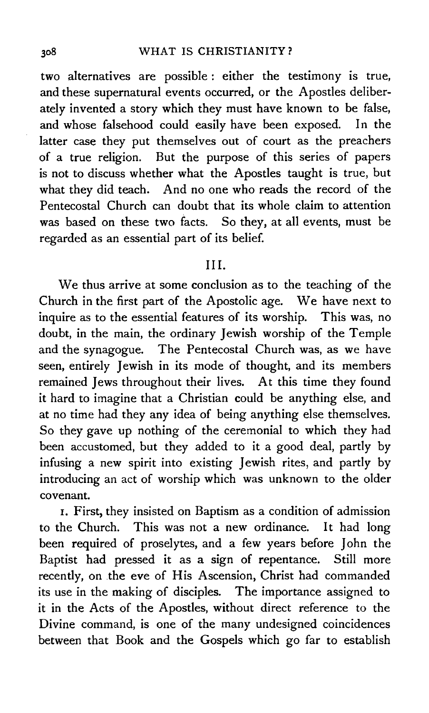two alternatives are possible : either the testimony is true, and these supernatural events occurred, or the Apostles deliberately invented a story which they must have known to be false, and whose falsehood could easily have been exposed. In the latter case they put themselves out of court as the preachers of a true religion. But the purpose of this series of papers is not to discuss whether what the Apostles taught is true, but what they did teach. And no one who reads the record of the Pentecostal Church can doubt that its whole claim to attention was based on these two facts. So they, at all events, must be regarded as an essential part of its belief.

### III.

We thus arrive at some conclusion as to the teaching of the Church in the first part of the Apostolic age. We have next to inquire as to the essential features of its worship. This was, no doubt, in the main, the ordinary Jewish worship of the Temple and the synagogue. The Pentecostal Church was, as we have seen, entirely Jewish in its mode of thought, and its members remained Jews throughout their lives. At this time they found it hard to imagine that a Christian could be anything else, and at no time had they any idea of being anything else themselves. So they gave up nothing of the ceremonial to which they had been accustomed, but they added to it a good deal, partly by infusing a new spirit into existing Jewish rites, and partly by introducing an act of worship which was unknown to the older covenant.

1. First, they insisted on Baptism as a condition of admission to the Church. This was not a new ordinance. It had long been required of proselytes, and a few years before John the Baptist had pressed it as a sign of repentance. Still more recently, on the eve of His Ascension, Christ had commanded its use in the making of disciples. The importance assigned to it in the Acts of the Apostles, without direct reference to the Divine command, is one of the many undesigned coincidences between that Book and the Gospels which go far to establish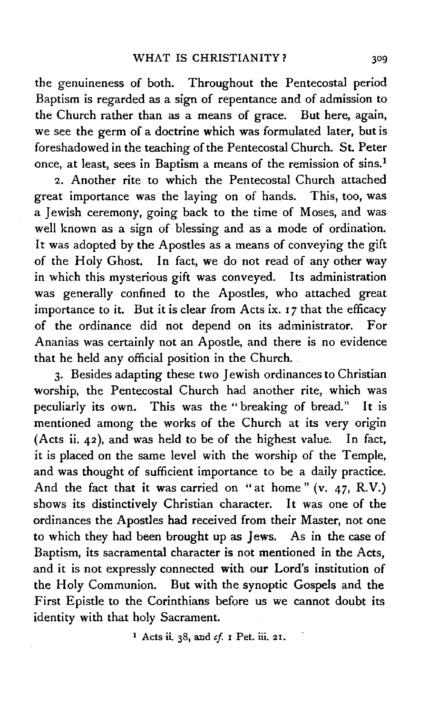the genuineness of both. Throughout the Pentecostal period Baptism is regarded as a sign of repentance and of admission to the Church rather than as a means of grace. But here, again, we see the germ of a doctrine which was formulated later, but is foreshadowed in the teaching of the Pentecostal Church. St. Peter once, at least, sees in Baptism a means of the remission of sins.<sup>1</sup>

2. Another rite to which the Pentecostal Church attached great importance was the laying on of hands. This, too, was a Jewish ceremony, going back to the time of Moses, and was well known as a sign of blessing and as a mode of ordination. It was adopted by the Apostles as a means of conveying the gift of the Holy Ghost. In fact, we do not read of any other way in which this mysterious gift was conveyed. Its administration was generally confined to the Apostles, who attached great importance to it. But it is clear from Acts ix. I *7* that the efficacy of .the ordinance did not depend on its administrator. For Ananias was certainly not an Apostle, and there is no evidence that he held any official position in the Church ..

3· Besides adapting these two Jewish ordinances to Christian worship, the Pentecostal Church had another rite, which was peculiarly its own. This was the "breaking of bread." It is mentioned among the works of the Church at its very origin (Acts ii. 42 ), and was held to be of the highest value. In fact, it is placed on the same level with the worship of the Temple, and was thought of sufficient importance to be a daily practice. And the fact that it was carried on "at home" (v. 47, R.V.) shows its distinctively Christian character. It was one of the ordinances the Apostles had received from their Master, not one to which they had been brought up as Jews. As in the case of Baptism, its sacramental character is not mentioned in the Acts, and it is not expressly connected with our Lord's institution of the Holy Communion. But with the synoptic Gospels and the First Epistle to the Corinthians before us we cannot doubt its identity with that holy Sacrament.

1 Acts ii 38, and *cf* I Pet. iii. 21.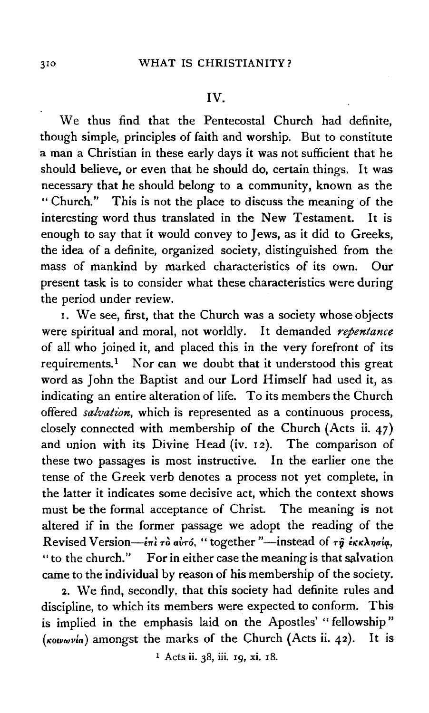#### IV.

We thus find that the Pentecostal Church had definite, though simple, principles of faith and worship. But to constitute a man a Christian in these early days it was not sufficient that he should believe, or even that he should do, certain things. It was necessary that he should belong to a community, known as the "Church." This is not the place to discuss the meaning of the interesting word thus translated in the New Testament. It is enough to say that it would convey to Jews, as it did to Greeks, the idea of a definite, organized society, distinguished from the mass of mankind by marked characteristics of its own. Our present task is to consider what these characteristics were during the period under review.

1. We see, first, that the Church was a society whose objects were spiritual and moral, not worldly. It demanded *repentance*  of all who joined it, and placed this in the very forefront of its requirements.<sup>1</sup> Nor can we doubt that it understood this great word as John the Baptist and our Lord Himself had used it, as indicating an entire alteration of life. To its members the Church offered *salvation*, which is represented as a continuous process, closely connected with membership of the Church (Acts ii. 47) and union with its Divine Head (iv. 12). The comparison of these two passages is most instructive. In the earlier one the tense of the Greek verb denotes a process not yet complete, in the latter it indicates some decisive act, which the context shows must be the formal acceptance of Christ. The meaning is not altered if in the former passage we adopt the reading of the Revised Version-ini rò avró, " together "-instead of rỹ iKKAnola, "to the church." For in either case the meaning is that salvation came to the individual by reason of his membership of the society.

2. We find, secondly, that this society had definite rules and discipline, to which its members were expected to conform. This is implied in the emphasis laid on the Apostles' " fellowship" *(Kowwvla)* amongst the marks of the Church (Acts ii. 42). It is

1 Acts ii. 38, iii. 19, xi. 18.